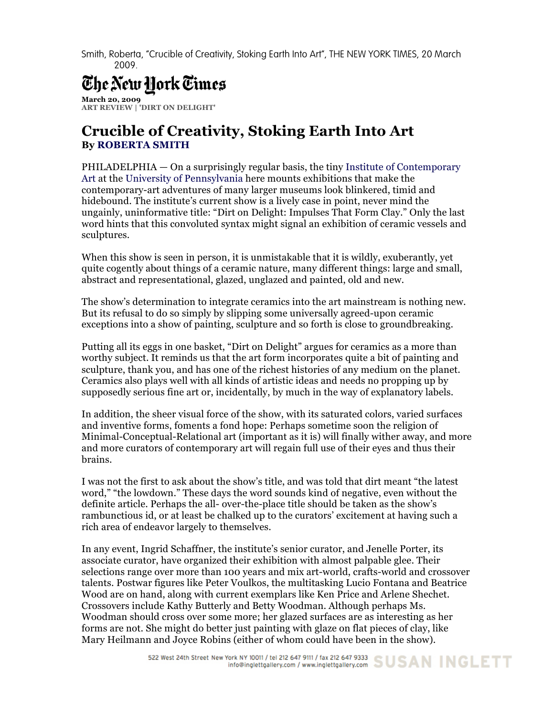Smith, Roberta, "Crucible of Creativity, Stoking Earth Into Art", THE NEW YORK TIMES, 20 March 2009.

## The New Hork Times

**March 20, 2009 ART REVIEW | 'DIRT ON DELIGHT'**

## **Crucible of Creativity, Stoking Earth Into Art By ROBERTA SMITH**

PHILADELPHIA — On a surprisingly regular basis, the tiny Institute of Contemporary Art at the University of Pennsylvania here mounts exhibitions that make the contemporary-art adventures of many larger museums look blinkered, timid and hidebound. The institute's current show is a lively case in point, never mind the ungainly, uninformative title: "Dirt on Delight: Impulses That Form Clay." Only the last word hints that this convoluted syntax might signal an exhibition of ceramic vessels and sculptures.

When this show is seen in person, it is unmistakable that it is wildly, exuberantly, yet quite cogently about things of a ceramic nature, many different things: large and small, abstract and representational, glazed, unglazed and painted, old and new.

The show's determination to integrate ceramics into the art mainstream is nothing new. But its refusal to do so simply by slipping some universally agreed-upon ceramic exceptions into a show of painting, sculpture and so forth is close to groundbreaking.

Putting all its eggs in one basket, "Dirt on Delight" argues for ceramics as a more than worthy subject. It reminds us that the art form incorporates quite a bit of painting and sculpture, thank you, and has one of the richest histories of any medium on the planet. Ceramics also plays well with all kinds of artistic ideas and needs no propping up by supposedly serious fine art or, incidentally, by much in the way of explanatory labels.

In addition, the sheer visual force of the show, with its saturated colors, varied surfaces and inventive forms, foments a fond hope: Perhaps sometime soon the religion of Minimal-Conceptual-Relational art (important as it is) will finally wither away, and more and more curators of contemporary art will regain full use of their eyes and thus their brains.

I was not the first to ask about the show's title, and was told that dirt meant "the latest word," "the lowdown." These days the word sounds kind of negative, even without the definite article. Perhaps the all- over-the-place title should be taken as the show's rambunctious id, or at least be chalked up to the curators' excitement at having such a rich area of endeavor largely to themselves.

In any event, Ingrid Schaffner, the institute's senior curator, and Jenelle Porter, its associate curator, have organized their exhibition with almost palpable glee. Their selections range over more than 100 years and mix art-world, crafts-world and crossover talents. Postwar figures like Peter Voulkos, the multitasking Lucio Fontana and Beatrice Wood are on hand, along with current exemplars like Ken Price and Arlene Shechet. Crossovers include Kathy Butterly and Betty Woodman. Although perhaps Ms. Woodman should cross over some more; her glazed surfaces are as interesting as her forms are not. She might do better just painting with glaze on flat pieces of clay, like Mary Heilmann and Joyce Robins (either of whom could have been in the show).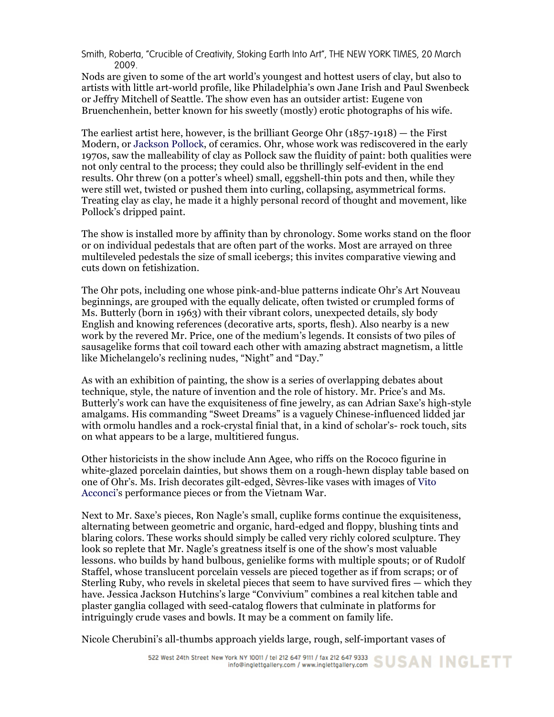Smith, Roberta, "Crucible of Creativity, Stoking Earth Into Art", THE NEW YORK TIMES, 20 March 2009.

Nods are given to some of the art world's youngest and hottest users of clay, but also to artists with little art-world profile, like Philadelphia's own Jane Irish and Paul Swenbeck or Jeffry Mitchell of Seattle. The show even has an outsider artist: Eugene von Bruenchenhein, better known for his sweetly (mostly) erotic photographs of his wife.

The earliest artist here, however, is the brilliant George Ohr (1857-1918) — the First Modern, or Jackson Pollock, of ceramics. Ohr, whose work was rediscovered in the early 1970s, saw the malleability of clay as Pollock saw the fluidity of paint: both qualities were not only central to the process; they could also be thrillingly self-evident in the end results. Ohr threw (on a potter's wheel) small, eggshell-thin pots and then, while they were still wet, twisted or pushed them into curling, collapsing, asymmetrical forms. Treating clay as clay, he made it a highly personal record of thought and movement, like Pollock's dripped paint.

The show is installed more by affinity than by chronology. Some works stand on the floor or on individual pedestals that are often part of the works. Most are arrayed on three multileveled pedestals the size of small icebergs; this invites comparative viewing and cuts down on fetishization.

The Ohr pots, including one whose pink-and-blue patterns indicate Ohr's Art Nouveau beginnings, are grouped with the equally delicate, often twisted or crumpled forms of Ms. Butterly (born in 1963) with their vibrant colors, unexpected details, sly body English and knowing references (decorative arts, sports, flesh). Also nearby is a new work by the revered Mr. Price, one of the medium's legends. It consists of two piles of sausagelike forms that coil toward each other with amazing abstract magnetism, a little like Michelangelo's reclining nudes, "Night" and "Day."

As with an exhibition of painting, the show is a series of overlapping debates about technique, style, the nature of invention and the role of history. Mr. Price's and Ms. Butterly's work can have the exquisiteness of fine jewelry, as can Adrian Saxe's high-style amalgams. His commanding "Sweet Dreams" is a vaguely Chinese-influenced lidded jar with ormolu handles and a rock-crystal finial that, in a kind of scholar's- rock touch, sits on what appears to be a large, multitiered fungus.

Other historicists in the show include Ann Agee, who riffs on the Rococo figurine in white-glazed porcelain dainties, but shows them on a rough-hewn display table based on one of Ohr's. Ms. Irish decorates gilt-edged, Sèvres-like vases with images of Vito Acconci's performance pieces or from the Vietnam War.

Next to Mr. Saxe's pieces, Ron Nagle's small, cuplike forms continue the exquisiteness, alternating between geometric and organic, hard-edged and floppy, blushing tints and blaring colors. These works should simply be called very richly colored sculpture. They look so replete that Mr. Nagle's greatness itself is one of the show's most valuable lessons. who builds by hand bulbous, genielike forms with multiple spouts; or of Rudolf Staffel, whose translucent porcelain vessels are pieced together as if from scraps; or of Sterling Ruby, who revels in skeletal pieces that seem to have survived fires — which they have. Jessica Jackson Hutchins's large "Convivium" combines a real kitchen table and plaster ganglia collaged with seed-catalog flowers that culminate in platforms for intriguingly crude vases and bowls. It may be a comment on family life.

Nicole Cherubini's all-thumbs approach yields large, rough, self-important vases of